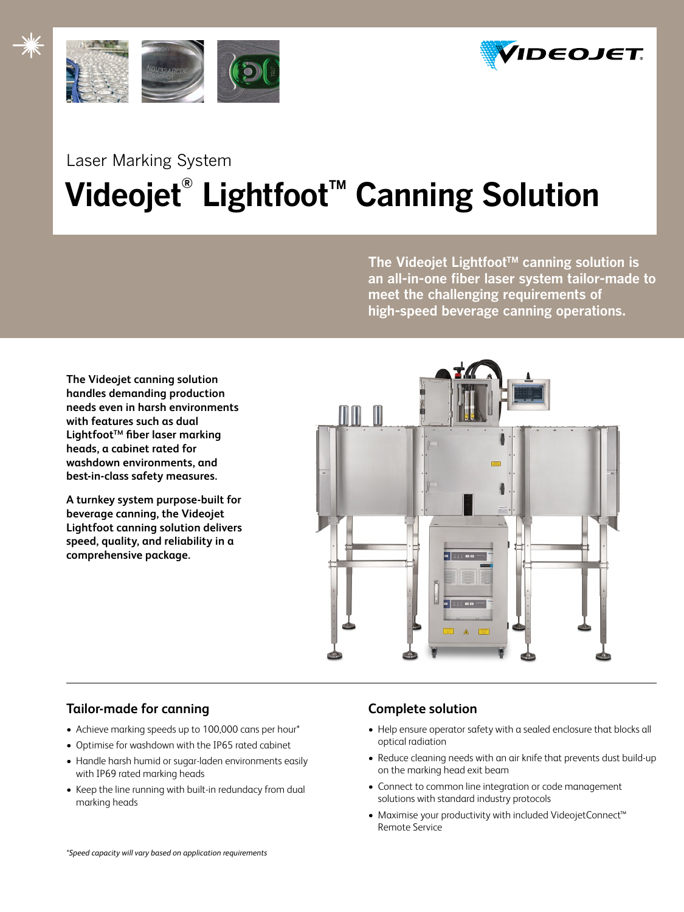



## Laser Marking System Videojet® Lightfoot<sup>™</sup> Canning Solution

**The Videojet Lightfoot™ canning solution is an all-in-one fiber laser system tailor-made to meet the challenging requirements of high-speed beverage canning operations.** 

**The Videojet canning solution handles demanding production needs even in harsh environments with features such as dual LightfootTM fiber laser marking heads, a cabinet rated for washdown environments, and best-in-class safety measures.** 

**A turnkey system purpose-built for beverage canning, the Videojet Lightfoot canning solution delivers speed, quality, and reliability in a comprehensive package.**



## **Tailor-made for canning**

- Achieve marking speeds up to 100,000 cans per hour\*
- Optimise for washdown with the IP65 rated cabinet
- Handle harsh humid or sugar-laden environments easily with IP69 rated marking heads
- Keep the line running with built-in redundacy from dual marking heads

## **Complete solution**

- Help ensure operator safety with a sealed enclosure that blocks all optical radiation
- Reduce cleaning needs with an air knife that prevents dust build-up on the marking head exit beam
- Connect to common line integration or code management solutions with standard industry protocols
- Maximise your productivity with included VideojetConnect™ Remote Service